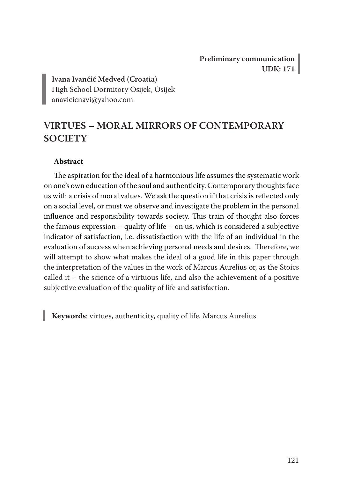**Preliminary communication UDK: 171**

**Ivana Ivančić Medved (Croatia)** High School Dormitory Osijek, Osijek anavicicnavi@yahoo.com

# **VIRTUES – MORAL MIRRORS OF CONTEMPORARY SOCIETY**

## **Abstract**

The aspiration for the ideal of a harmonious life assumes the systematic work on one's own education of the soul and authenticity. Contemporary thoughts face us with a crisis of moral values. We ask the question if that crisis is reflected only on a social level, or must we observe and investigate the problem in the personal influence and responsibility towards society. This train of thought also forces the famous expression – quality of life – on us, which is considered a subjective indicator of satisfaction, i.e. dissatisfaction with the life of an individual in the evaluation of success when achieving personal needs and desires. Therefore, we will attempt to show what makes the ideal of a good life in this paper through the interpretation of the values in the work of Marcus Aurelius or, as the Stoics called it – the science of a virtuous life, and also the achievement of a positive subjective evaluation of the quality of life and satisfaction.

**Keywords**: virtues, authenticity, quality of life, Marcus Aurelius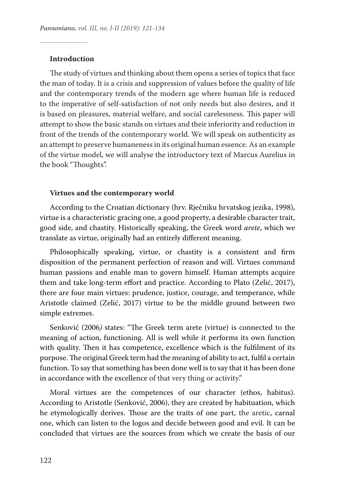## **Introduction**

The study of virtues and thinking about them opens a series of topics that face the man of today. It is a crisis and suppression of values before the quality of life and the contemporary trends of the modern age where human life is reduced to the imperative of self-satisfaction of not only needs but also desires, and it is based on pleasures, material welfare, and social carelessness. This paper will attempt to show the basic stands on virtues and their inferiority and reduction in front of the trends of the contemporary world. We will speak on authenticity as an attempt to preserve humaneness in its original human essence. As an example of the virtue model, we will analyse the introductory text of Marcus Aurelius in the book "Thoughts".

#### **Virtues and the contemporary world**

According to the Croatian dictionary (hrv. Rječniku hrvatskog jezika, 1998), virtue is a characteristic gracing one, a good property, a desirable character trait, good side, and chastity. Historically speaking, the Greek word *arete*, which we translate as virtue, originally had an entirely different meaning.

Philosophically speaking, virtue, or chastity is a consistent and firm disposition of the permanent perfection of reason and will. Virtues command human passions and enable man to govern himself. Human attempts acquire them and take long-term effort and practice. According to Plato (Zelić, 2017), there are four main virtues: prudence, justice, courage, and temperance, while Aristotle claimed (Zelić, 2017) virtue to be the middle ground between two simple extremes.

Senković (2006*)* states: "The Greek term arete (virtue) is connected to the meaning of action, functioning. All is well while it performs its own function with quality. Then it has competence, excellence which is the fulfilment of its purpose. The original Greek term had the meaning of ability to act, fulfil a certain function. To say that something has been done well is to say that it has been done in accordance with the excellence of that very thing or activity."

Moral virtues are the competences of our character (ethos, habitus). According to Aristotle (Senković, 2006), they are created by habituation, which he etymologically derives. Those are the traits of one part, the aretic, carnal one, which can listen to the logos and decide between good and evil. It can be concluded that virtues are the sources from which we create the basis of our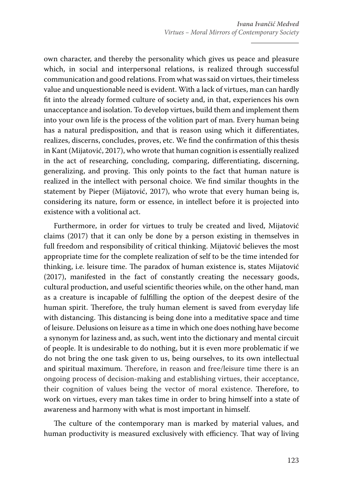own character, and thereby the personality which gives us peace and pleasure which, in social and interpersonal relations, is realized through successful communication and good relations. From what was said on virtues, their timeless value and unquestionable need is evident. With a lack of virtues, man can hardly fit into the already formed culture of society and, in that, experiences his own unacceptance and isolation. To develop virtues, build them and implement them into your own life is the process of the volition part of man. Every human being has a natural predisposition, and that is reason using which it differentiates, realizes, discerns, concludes, proves, etc. We find the confirmation of this thesis in Kant (Mijatović, 2017), who wrote that human cognition is essentially realized in the act of researching, concluding, comparing, differentiating, discerning, generalizing, and proving. This only points to the fact that human nature is realized in the intellect with personal choice. We find similar thoughts in the statement by Pieper (Mijatović, 2017), who wrote that every human being is, considering its nature, form or essence, in intellect before it is projected into existence with a volitional act.

Furthermore, in order for virtues to truly be created and lived, Mijatović claims (2017) that it can only be done by a person existing in themselves in full freedom and responsibility of critical thinking. Mijatović believes the most appropriate time for the complete realization of self to be the time intended for thinking, i.e. leisure time. The paradox of human existence is, states Mijatović (2017), manifested in the fact of constantly creating the necessary goods, cultural production, and useful scientific theories while, on the other hand, man as a creature is incapable of fulfilling the option of the deepest desire of the human spirit. Therefore, the truly human element is saved from everyday life with distancing. This distancing is being done into a meditative space and time of leisure. Delusions on leisure as a time in which one does nothing have become a synonym for laziness and, as such, went into the dictionary and mental circuit of people. It is undesirable to do nothing, but it is even more problematic if we do not bring the one task given to us, being ourselves, to its own intellectual and spiritual maximum. Therefore, in reason and free/leisure time there is an ongoing process of decision-making and establishing virtues, their acceptance, their cognition of values being the vector of moral existence. Therefore, to work on virtues, every man takes time in order to bring himself into a state of awareness and harmony with what is most important in himself.

The culture of the contemporary man is marked by material values, and human productivity is measured exclusively with efficiency. That way of living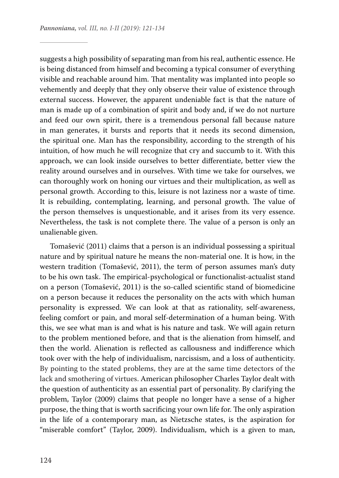suggests a high possibility of separating man from his real, authentic essence. He is being distanced from himself and becoming a typical consumer of everything visible and reachable around him. That mentality was implanted into people so vehemently and deeply that they only observe their value of existence through external success. However, the apparent undeniable fact is that the nature of man is made up of a combination of spirit and body and, if we do not nurture and feed our own spirit, there is a tremendous personal fall because nature in man generates, it bursts and reports that it needs its second dimension, the spiritual one. Man has the responsibility, according to the strength of his intuition, of how much he will recognize that cry and succumb to it. With this approach, we can look inside ourselves to better differentiate, better view the reality around ourselves and in ourselves. With time we take for ourselves, we can thoroughly work on honing our virtues and their multiplication, as well as personal growth. According to this, leisure is not laziness nor a waste of time. It is rebuilding, contemplating, learning, and personal growth. The value of the person themselves is unquestionable, and it arises from its very essence. Nevertheless, the task is not complete there. The value of a person is only an unalienable given.

Tomašević (2011) claims that a person is an individual possessing a spiritual nature and by spiritual nature he means the non-material one. It is how, in the western tradition (Tomašević, 2011), the term of person assumes man's duty to be his own task. The empirical-psychological or functionalist-actualist stand on a person (Tomašević, 2011) is the so-called scientific stand of biomedicine on a person because it reduces the personality on the acts with which human personality is expressed. We can look at that as rationality, self-awareness, feeling comfort or pain, and moral self-determination of a human being. With this, we see what man is and what is his nature and task. We will again return to the problem mentioned before, and that is the alienation from himself, and then the world. Alienation is reflected as callousness and indifference which took over with the help of individualism, narcissism, and a loss of authenticity. By pointing to the stated problems, they are at the same time detectors of the lack and smothering of virtues. American philosopher Charles Taylor dealt with the question of authenticity as an essential part of personality. By clarifying the problem, Taylor (2009) claims that people no longer have a sense of a higher purpose, the thing that is worth sacrificing your own life for. The only aspiration in the life of a contemporary man, as Nietzsche states, is the aspiration for "miserable comfort" (Taylor, 2009). Individualism, which is a given to man,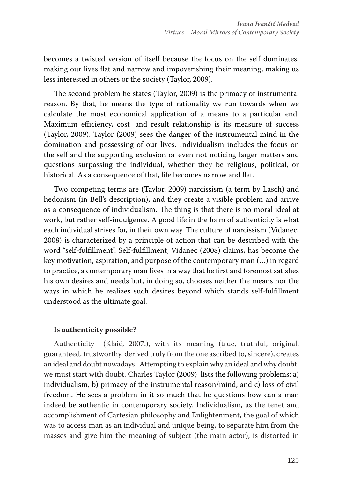becomes a twisted version of itself because the focus on the self dominates, making our lives flat and narrow and impoverishing their meaning, making us less interested in others or the society (Taylor, 2009).

The second problem he states (Taylor, 2009) is the primacy of instrumental reason. By that, he means the type of rationality we run towards when we calculate the most economical application of a means to a particular end. Maximum efficiency, cost, and result relationship is its measure of success (Taylor, 2009). Taylor (2009) sees the danger of the instrumental mind in the domination and possessing of our lives. Individualism includes the focus on the self and the supporting exclusion or even not noticing larger matters and questions surpassing the individual, whether they be religious, political, or historical. As a consequence of that, life becomes narrow and flat.

Two competing terms are (Taylor, 2009) narcissism (a term by Lasch) and hedonism (in Bell's description), and they create a visible problem and arrive as a consequence of individualism. The thing is that there is no moral ideal at work, but rather self-indulgence. A good life in the form of authenticity is what each individual strives for, in their own way. The culture of narcissism (Vidanec, 2008) is characterized by a principle of action that can be described with the word "self-fulfillment". Self-fulfillment, Vidanec (2008) claims, has become the key motivation, aspiration, and purpose of the contemporary man (…) in regard to practice, a contemporary man lives in a way that he first and foremost satisfies his own desires and needs but, in doing so, chooses neither the means nor the ways in which he realizes such desires beyond which stands self-fulfillment understood as the ultimate goal.

## **Is authenticity possible?**

Authenticity (Klaić, 2007.), with its meaning (true, truthful, original, guaranteed, trustworthy, derived truly from the one ascribed to, sincere), creates an ideal and doubt nowadays. Attempting to explain why an ideal and why doubt, we must start with doubt. Charles Taylor (2009) lists the following problems: a) individualism, b) primacy of the instrumental reason/mind, and c) loss of civil freedom. He sees a problem in it so much that he questions how can a man indeed be authentic in contemporary society. Individualism, as the tenet and accomplishment of Cartesian philosophy and Enlightenment, the goal of which was to access man as an individual and unique being, to separate him from the masses and give him the meaning of subject (the main actor), is distorted in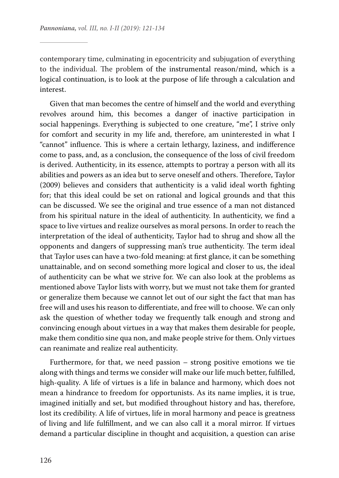contemporary time, culminating in egocentricity and subjugation of everything to the individual. The problem of the instrumental reason/mind, which is a logical continuation, is to look at the purpose of life through a calculation and interest.

Given that man becomes the centre of himself and the world and everything revolves around him, this becomes a danger of inactive participation in social happenings. Everything is subjected to one creature, "me", I strive only for comfort and security in my life and, therefore, am uninterested in what I "cannot" influence. This is where a certain lethargy, laziness, and indifference come to pass, and, as a conclusion, the consequence of the loss of civil freedom is derived. Authenticity, in its essence, attempts to portray a person with all its abilities and powers as an idea but to serve oneself and others. Therefore, Taylor (2009) believes and considers that authenticity is a valid ideal worth fighting for; that this ideal could be set on rational and logical grounds and that this can be discussed. We see the original and true essence of a man not distanced from his spiritual nature in the ideal of authenticity. In authenticity, we find a space to live virtues and realize ourselves as moral persons. In order to reach the interpretation of the ideal of authenticity, Taylor had to shrug and show all the opponents and dangers of suppressing man's true authenticity. The term ideal that Taylor uses can have a two-fold meaning: at first glance, it can be something unattainable, and on second something more logical and closer to us, the ideal of authenticity can be what we strive for. We can also look at the problems as mentioned above Taylor lists with worry, but we must not take them for granted or generalize them because we cannot let out of our sight the fact that man has free will and uses his reason to differentiate, and free will to choose. We can only ask the question of whether today we frequently talk enough and strong and convincing enough about virtues in a way that makes them desirable for people, make them conditio sine qua non, and make people strive for them. Only virtues can reanimate and realize real authenticity.

Furthermore, for that, we need passion – strong positive emotions we tie along with things and terms we consider will make our life much better, fulfilled, high-quality. A life of virtues is a life in balance and harmony, which does not mean a hindrance to freedom for opportunists. As its name implies, it is true, imagined initially and set, but modified throughout history and has, therefore, lost its credibility. A life of virtues, life in moral harmony and peace is greatness of living and life fulfillment, and we can also call it a moral mirror. If virtues demand a particular discipline in thought and acquisition, a question can arise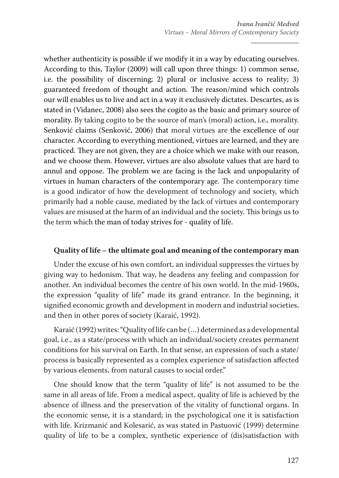whether authenticity is possible if we modify it in a way by educating ourselves. According to this, Taylor (2009) will call upon three things: 1) common sense, i.e. the possibility of discerning; 2) plural or inclusive access to reality; 3) guaranteed freedom of thought and action. The reason/mind which controls our will enables us to live and act in a way it exclusively dictates. Descartes, as is stated in (Vidanec, 2008) also sees the cogito as the basic and primary source of morality. By taking cogito to be the source of man's (moral) action, i.e., morality. Senković claims (Senković, 2006) that moral virtues are the excellence of our character. According to everything mentioned, virtues are learned, and they are practiced. They are not given, they are a choice which we make with our reason, and we choose them. However, virtues are also absolute values that are hard to annul and oppose. The problem we are facing is the lack and unpopularity of virtues in human characters of the contemporary age. The contemporary time is a good indicator of how the development of technology and society, which primarily had a noble cause, mediated by the lack of virtues and contemporary values are misused at the harm of an individual and the society. This brings us to the term which the man of today strives for - quality of life.

## **Quality of life – the ultimate goal and meaning of the contemporary man**

Under the excuse of his own comfort, an individual suppresses the virtues by giving way to hedonism. That way, he deadens any feeling and compassion for another. An individual becomes the centre of his own world. In the mid-1960s, the expression "quality of life" made its grand entrance. In the beginning, it signified economic growth and development in modern and industrial societies, and then in other pores of society (Karaić, 1992).

Karaić (1992) writes: "Quality of life can be (…) determined as a developmental goal, i.e., as a state/process with which an individual/society creates permanent conditions for his survival on Earth. In that sense, an expression of such a state/ process is basically represented as a complex experience of satisfaction affected by various elements, from natural causes to social order."

One should know that the term "quality of life" is not assumed to be the same in all areas of life. From a medical aspect, quality of life is achieved by the absence of illness and the preservation of the vitality of functional organs. In the economic sense, it is a standard; in the psychological one it is satisfaction with life. Krizmanić and Kolesarić, as was stated in Pastuović (1999) determine quality of life to be a complex, synthetic experience of (dis)satisfaction with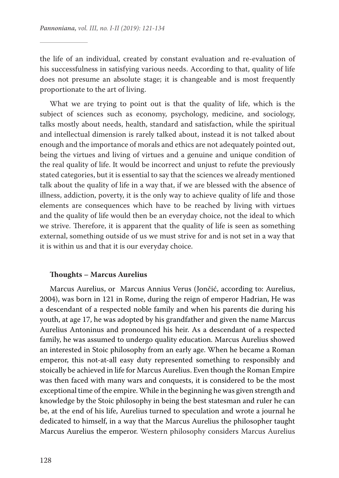the life of an individual, created by constant evaluation and re-evaluation of his successfulness in satisfying various needs. According to that, quality of life does not presume an absolute stage; it is changeable and is most frequently proportionate to the art of living.

What we are trying to point out is that the quality of life, which is the subject of sciences such as economy, psychology, medicine, and sociology, talks mostly about needs, health, standard and satisfaction, while the spiritual and intellectual dimension is rarely talked about, instead it is not talked about enough and the importance of morals and ethics are not adequately pointed out, being the virtues and living of virtues and a genuine and unique condition of the real quality of life. It would be incorrect and unjust to refute the previously stated categories, but it is essential to say that the sciences we already mentioned talk about the quality of life in a way that, if we are blessed with the absence of illness, addiction, poverty, it is the only way to achieve quality of life and those elements are consequences which have to be reached by living with virtues and the quality of life would then be an everyday choice, not the ideal to which we strive. Therefore, it is apparent that the quality of life is seen as something external, something outside of us we must strive for and is not set in a way that it is within us and that it is our everyday choice.

## **Thoughts – Marcus Aurelius**

Marcus Aurelius, or Marcus Annius Verus (Jončić, according to: Aurelius, 2004), was born in 121 in Rome, during the reign of emperor Hadrian, He was a descendant of a respected noble family and when his parents die during his youth, at age 17, he was adopted by his grandfather and given the name Marcus Aurelius Antoninus and pronounced his heir. As a descendant of a respected family, he was assumed to undergo quality education. Marcus Aurelius showed an interested in Stoic philosophy from an early age. When he became a Roman emperor, this not-at-all easy duty represented something to responsibly and stoically be achieved in life for Marcus Aurelius. Even though the Roman Empire was then faced with many wars and conquests, it is considered to be the most exceptional time of the empire. While in the beginning he was given strength and knowledge by the Stoic philosophy in being the best statesman and ruler he can be, at the end of his life, Aurelius turned to speculation and wrote a journal he dedicated to himself, in a way that the Marcus Aurelius the philosopher taught Marcus Aurelius the emperor. Western philosophy considers Marcus Aurelius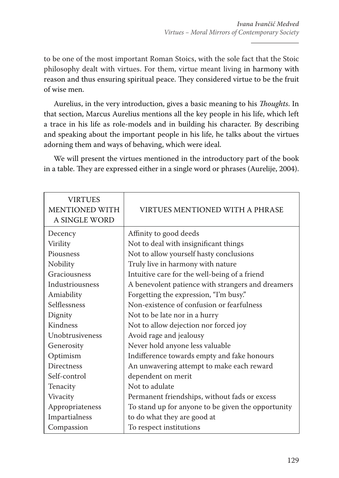to be one of the most important Roman Stoics, with the sole fact that the Stoic philosophy dealt with virtues. For them, virtue meant living in harmony with reason and thus ensuring spiritual peace. They considered virtue to be the fruit of wise men.

Aurelius, in the very introduction, gives a basic meaning to his *Thoughts*. In that section, Marcus Aurelius mentions all the key people in his life, which left a trace in his life as role-models and in building his character. By describing and speaking about the important people in his life, he talks about the virtues adorning them and ways of behaving, which were ideal.

We will present the virtues mentioned in the introductory part of the book in a table. They are expressed either in a single word or phrases (Aurelije, 2004).

| <b>VIRTUES</b><br><b>MENTIONED WITH</b><br>A SINGLE WORD | VIRTUES MENTIONED WITH A PHRASE                    |
|----------------------------------------------------------|----------------------------------------------------|
| Decency                                                  | Affinity to good deeds                             |
| Virility                                                 | Not to deal with insignificant things              |
| Piousness                                                | Not to allow yourself hasty conclusions            |
| Nobility                                                 | Truly live in harmony with nature                  |
| Graciousness                                             | Intuitive care for the well-being of a friend      |
| Industriousness                                          | A benevolent patience with strangers and dreamers  |
| Amiability                                               | Forgetting the expression, "I'm busy."             |
| Selflessness                                             | Non-existence of confusion or fearfulness          |
| Dignity                                                  | Not to be late nor in a hurry                      |
| Kindness                                                 | Not to allow dejection nor forced joy              |
| Unobtrusiveness                                          | Avoid rage and jealousy                            |
| Generosity                                               | Never hold anyone less valuable                    |
| Optimism                                                 | Indifference towards empty and fake honours        |
| Directness                                               | An unwavering attempt to make each reward          |
| Self-control                                             | dependent on merit                                 |
| Tenacity                                                 | Not to adulate                                     |
| Vivacity                                                 | Permanent friendships, without fads or excess      |
| Appropriateness                                          | To stand up for anyone to be given the opportunity |
| Impartialness                                            | to do what they are good at                        |
| Compassion                                               | To respect institutions                            |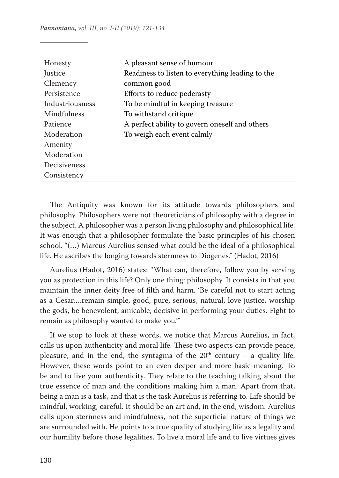| Honesty         | A pleasant sense of humour                       |
|-----------------|--------------------------------------------------|
| Justice         | Readiness to listen to everything leading to the |
| Clemency        | common good                                      |
| Persistence     | Efforts to reduce pederasty                      |
| Industriousness | To be mindful in keeping treasure                |
| Mindfulness     | To withstand critique                            |
| Patience        | A perfect ability to govern oneself and others   |
| Moderation      | To weigh each event calmly                       |
| Amenity         |                                                  |
| Moderation      |                                                  |
| Decisiveness    |                                                  |
| Consistency     |                                                  |

The Antiquity was known for its attitude towards philosophers and philosophy. Philosophers were not theoreticians of philosophy with a degree in the subject. A philosopher was a person living philosophy and philosophical life. It was enough that a philosopher formulate the basic principles of his chosen school. "(…) Marcus Aurelius sensed what could be the ideal of a philosophical life. He ascribes the longing towards sternness to Diogenes." (Hadot, 2016)

Aurelius (Hadot, 2016) states: "What can, therefore, follow you by serving you as protection in this life? Only one thing: philosophy. It consists in that you maintain the inner deity free of filth and harm. 'Be careful not to start acting as a Cesar….remain simple, good, pure, serious, natural, love justice, worship the gods, be benevolent, amicable, decisive in performing your duties. Fight to remain as philosophy wanted to make you*.'"* 

If we stop to look at these words, we notice that Marcus Aurelius, in fact, calls us upon authenticity and moral life. These two aspects can provide peace, pleasure, and in the end, the syntagma of the  $20<sup>th</sup>$  century – a quality life. However, these words point to an even deeper and more basic meaning. To be and to live your authenticity. They relate to the teaching talking about the true essence of man and the conditions making him a man. Apart from that, being a man is a task, and that is the task Aurelius is referring to. Life should be mindful, working, careful. It should be an art and, in the end, wisdom. Aurelius calls upon sternness and mindfulness, not the superficial nature of things we are surrounded with. He points to a true quality of studying life as a legality and our humility before those legalities. To live a moral life and to live virtues gives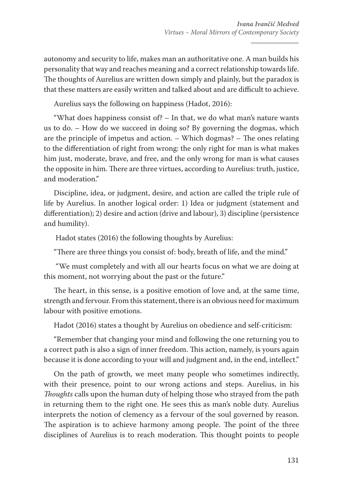autonomy and security to life, makes man an authoritative one. A man builds his personality that way and reaches meaning and a correct relationship towards life. The thoughts of Aurelius are written down simply and plainly, but the paradox is that these matters are easily written and talked about and are difficult to achieve.

Aurelius says the following on happiness (Hadot, 2016):

"What does happiness consist of? – In that, we do what man's nature wants us to do. – How do we succeed in doing so? By governing the dogmas, which are the principle of impetus and action. – Which dogmas? – The ones relating to the differentiation of right from wrong: the only right for man is what makes him just, moderate, brave, and free, and the only wrong for man is what causes the opposite in him. There are three virtues, according to Aurelius: truth, justice, and moderation."

Discipline, idea, or judgment, desire, and action are called the triple rule of life by Aurelius. In another logical order: 1) Idea or judgment (statement and differentiation); 2) desire and action (drive and labour), 3) discipline (persistence and humility).

Hadot states (2016) the following thoughts by Aurelius:

"There are three things you consist of: body, breath of life, and the mind."

 "We must completely and with all our hearts focus on what we are doing at this moment, not worrying about the past or the future."

The heart, in this sense, is a positive emotion of love and, at the same time, strength and fervour. From this statement, there is an obvious need for maximum labour with positive emotions.

Hadot (2016) states a thought by Aurelius on obedience and self-criticism:

"Remember that changing your mind and following the one returning you to a correct path is also a sign of inner freedom. This action, namely, is yours again because it is done according to your will and judgment and, in the end, intellect."

On the path of growth, we meet many people who sometimes indirectly, with their presence, point to our wrong actions and steps. Aurelius, in his *Thoughts* calls upon the human duty of helping those who strayed from the path in returning them to the right one. He sees this as man's noble duty. Aurelius interprets the notion of clemency as a fervour of the soul governed by reason. The aspiration is to achieve harmony among people. The point of the three disciplines of Aurelius is to reach moderation. This thought points to people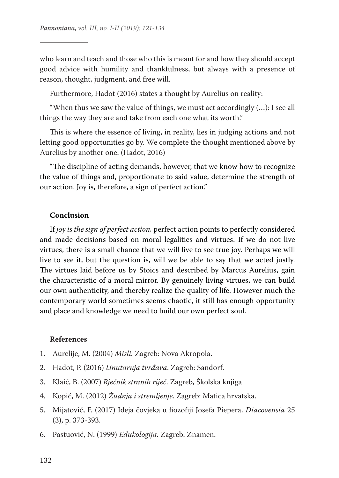who learn and teach and those who this is meant for and how they should accept good advice with humility and thankfulness, but always with a presence of reason, thought, judgment, and free will.

Furthermore, Hadot (2016) states a thought by Aurelius on reality:

"When thus we saw the value of things, we must act accordingly (…): I see all things the way they are and take from each one what its worth."

This is where the essence of living, in reality, lies in judging actions and not letting good opportunities go by. We complete the thought mentioned above by Aurelius by another one. (Hadot, 2016)

"The discipline of acting demands, however, that we know how to recognize the value of things and, proportionate to said value, determine the strength of our action. Joy is, therefore, a sign of perfect action."

## **Conclusion**

If *joy is the sign of perfect action,* perfect action points to perfectly considered and made decisions based on moral legalities and virtues. If we do not live virtues, there is a small chance that we will live to see true joy. Perhaps we will live to see it, but the question is, will we be able to say that we acted justly. The virtues laid before us by Stoics and described by Marcus Aurelius, gain the characteristic of a moral mirror. By genuinely living virtues, we can build our own authenticity, and thereby realize the quality of life. However much the contemporary world sometimes seems chaotic, it still has enough opportunity and place and knowledge we need to build our own perfect soul.

#### **References**

- 1. Aurelije, M. (2004) *Misli.* Zagreb: Nova Akropola.
- 2. Hadot, P. (2016) *Unutarnja tvrđava*. Zagreb: Sandorf.
- 3. Klaić, B. (2007) *Rječnik stranih riječ*. Zagreb, Školska knjiga.
- 4. Kopić, M. (2012) *Žudnja i stremljenje*. Zagreb: Matica hrvatska.
- 5. Mijatović, F. (2017) Ideja čovjeka u fiozofiji Josefa Piepera. *Diacovensia* 25 (3), p. 373-393.
- 6. Pastuović, N. (1999) *Edukologija*. Zagreb: Znamen.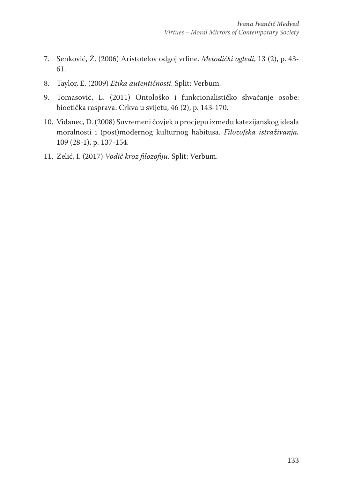- 7. Senković, Ž. (2006) Aristotelov odgoj vrline. *Metodički ogledi*, 13 (2), p. 43- 61.
- 8. Taylor, E. (2009) *Etika autentičnosti*. Split: Verbum.
- 9. Tomasović, L. (2011) Ontološko i funkcionalističko shvaćanje osobe: bioetička rasprava. Crkva u svijetu, 46 (2), p. 143-170.
- 10. Vidanec, D. (2008) Suvremeni čovjek u procjepu između katezijanskog ideala moralnosti i (post)modernog kulturnog habitusa. *Filozofska istraživanja,* 109 (28-1), p. 137-154.
- 11. Zelić, I. (2017) *Vodič kroz filozofiju*. Split: Verbum.